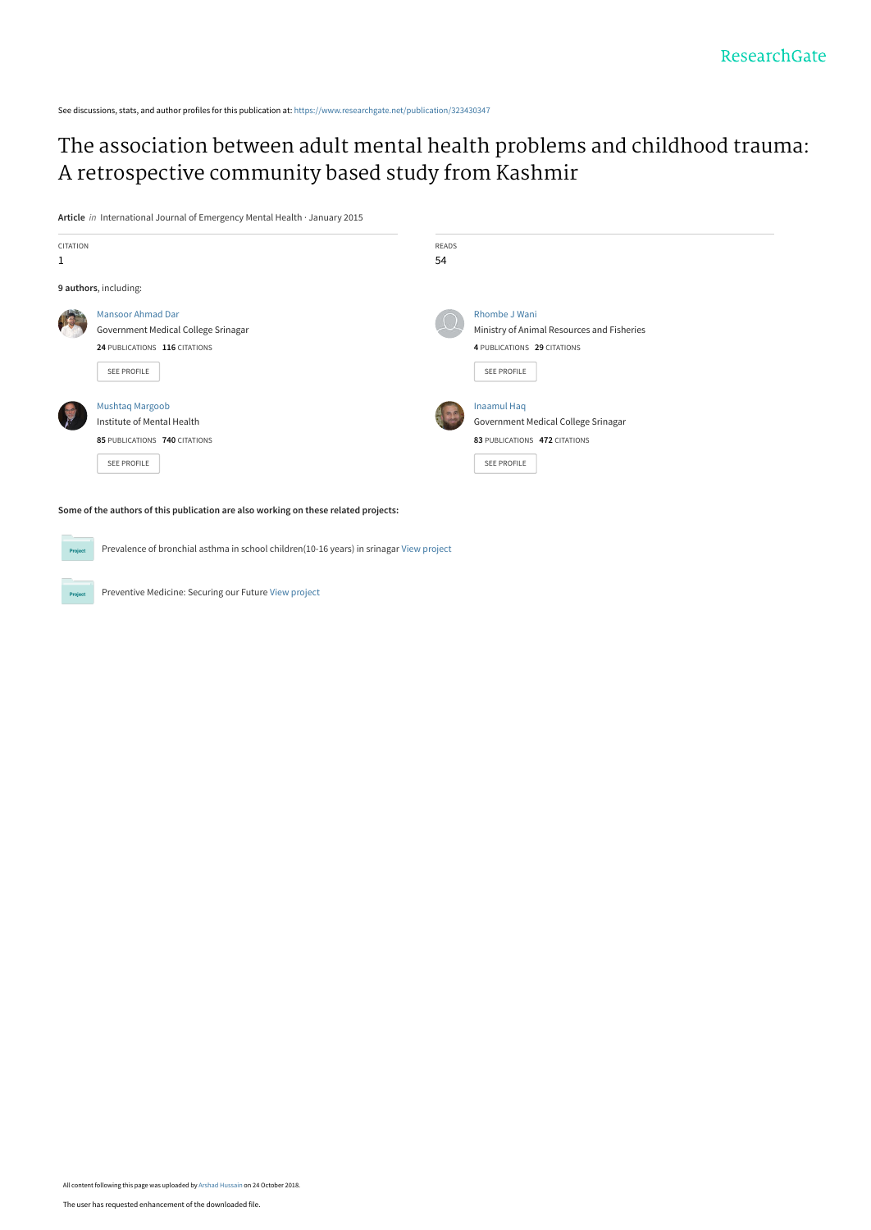See discussions, stats, and author profiles for this publication at: [https://www.researchgate.net/publication/323430347](https://www.researchgate.net/publication/323430347_The_association_between_adult_mental_health_problems_and_childhood_trauma_A_retrospective_community_based_study_from_Kashmir?enrichId=rgreq-9863fee96a1567387c0d4d58c650c451-XXX&enrichSource=Y292ZXJQYWdlOzMyMzQzMDM0NztBUzo2ODUyNTQ0MjM2MzgwMTZAMTU0MDM4ODc5NDAyNQ%3D%3D&el=1_x_2&_esc=publicationCoverPdf)

## [The association between adult mental health problems and childhood trauma:](https://www.researchgate.net/publication/323430347_The_association_between_adult_mental_health_problems_and_childhood_trauma_A_retrospective_community_based_study_from_Kashmir?enrichId=rgreq-9863fee96a1567387c0d4d58c650c451-XXX&enrichSource=Y292ZXJQYWdlOzMyMzQzMDM0NztBUzo2ODUyNTQ0MjM2MzgwMTZAMTU0MDM4ODc5NDAyNQ%3D%3D&el=1_x_3&_esc=publicationCoverPdf) A retrospective community based study from Kashmir

**Article** in International Journal of Emergency Mental Health · January 2015



**Some of the authors of this publication are also working on these related projects:**

Prevalence of bronchial asthma in school children(10-16 years) in srinagar [View project](https://www.researchgate.net/project/Prevalence-of-bronchial-asthma-in-school-children10-16-years-in-srinagar?enrichId=rgreq-9863fee96a1567387c0d4d58c650c451-XXX&enrichSource=Y292ZXJQYWdlOzMyMzQzMDM0NztBUzo2ODUyNTQ0MjM2MzgwMTZAMTU0MDM4ODc5NDAyNQ%3D%3D&el=1_x_9&_esc=publicationCoverPdf)

Preventive Medicine: Securing our Future [View project](https://www.researchgate.net/project/Preventive-Medicine-Securing-our-Future?enrichId=rgreq-9863fee96a1567387c0d4d58c650c451-XXX&enrichSource=Y292ZXJQYWdlOzMyMzQzMDM0NztBUzo2ODUyNTQ0MjM2MzgwMTZAMTU0MDM4ODc5NDAyNQ%3D%3D&el=1_x_9&_esc=publicationCoverPdf)

Pro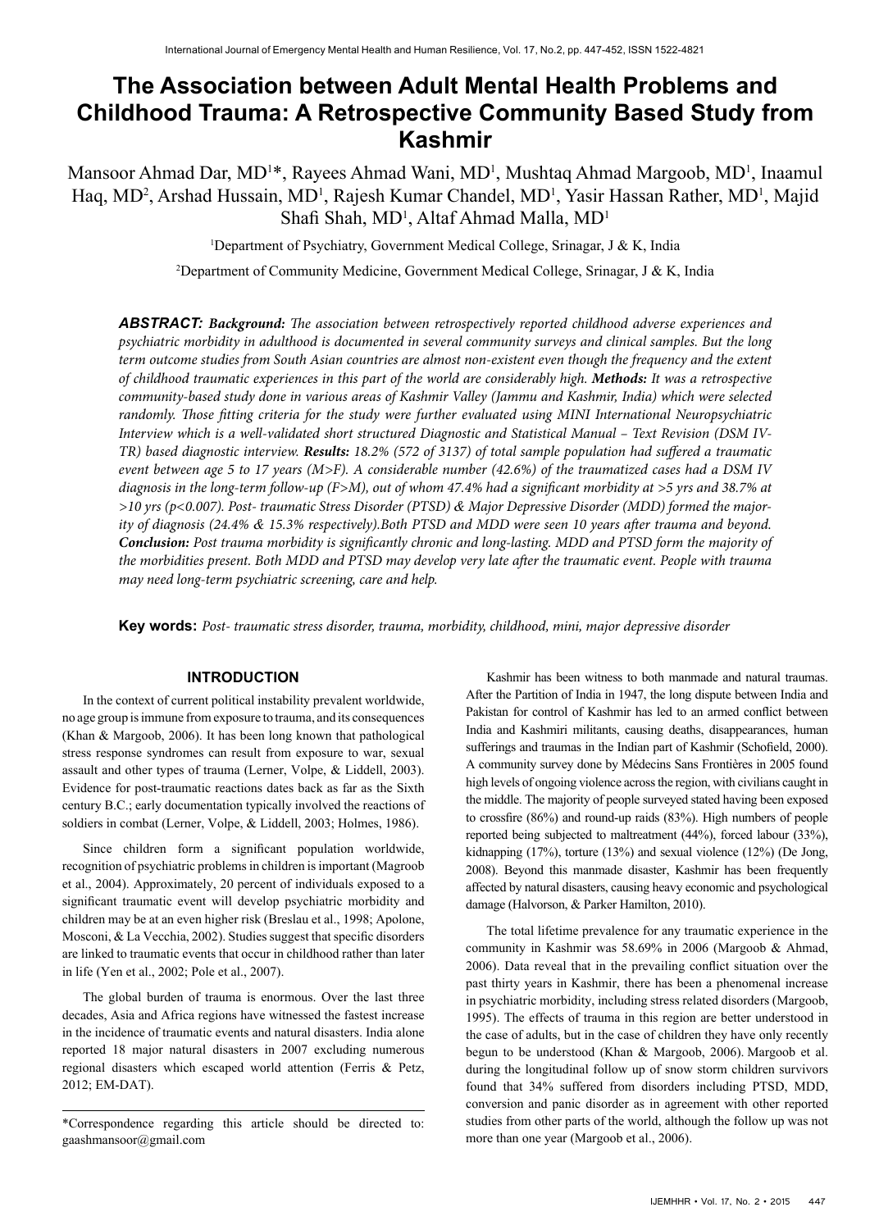# **The Association between Adult Mental Health Problems and Childhood Trauma: A Retrospective Community Based Study from Kashmir**

Mansoor Ahmad Dar, MD<sup>1\*</sup>, Rayees Ahmad Wani, MD<sup>1</sup>, Mushtaq Ahmad Margoob, MD<sup>1</sup>, Inaamul Haq, MD<sup>2</sup>, Arshad Hussain, MD<sup>1</sup>, Rajesh Kumar Chandel, MD<sup>1</sup>, Yasir Hassan Rather, MD<sup>1</sup>, Majid Shafi Shah, MD<sup>1</sup>, Altaf Ahmad Malla, MD<sup>1</sup>

<sup>1</sup>Department of Psychiatry, Government Medical College, Srinagar, J & K, India

2 Department of Community Medicine, Government Medical College, Srinagar, J & K, India

*ABSTRACT: Background: The association between retrospectively reported childhood adverse experiences and psychiatric morbidity in adulthood is documented in several community surveys and clinical samples. But the long term outcome studies from South Asian countries are almost non-existent even though the frequency and the extent of childhood traumatic experiences in this part of the world are considerably high. Methods: It was a retrospective community-based study done in various areas of Kashmir Valley (Jammu and Kashmir, India) which were selected randomly. Those fitting criteria for the study were further evaluated using MINI International Neuropsychiatric Interview which is a well-validated short structured Diagnostic and Statistical Manual – Text Revision (DSM IV-TR) based diagnostic interview. Results: 18.2% (572 of 3137) of total sample population had suffered a traumatic event between age 5 to 17 years (M>F). A considerable number (42.6%) of the traumatized cases had a DSM IV diagnosis in the long-term follow-up (F>M), out of whom 47.4% had a significant morbidity at >5 yrs and 38.7% at >10 yrs (p<0.007). Post- traumatic Stress Disorder (PTSD) & Major Depressive Disorder (MDD) formed the majority of diagnosis (24.4% & 15.3% respectively).Both PTSD and MDD were seen 10 years after trauma and beyond. Conclusion: Post trauma morbidity is significantly chronic and long-lasting. MDD and PTSD form the majority of the morbidities present. Both MDD and PTSD may develop very late after the traumatic event. People with trauma may need long-term psychiatric screening, care and help.* 

**Key words:** *Post- traumatic stress disorder, trauma, morbidity, childhood, mini, major depressive disorder*

## **INTRODUCTION**

In the context of current political instability prevalent worldwide, no age group is immune from exposure to trauma, and its consequences (Khan & Margoob, 2006). It has been long known that pathological stress response syndromes can result from exposure to war, sexual assault and other types of trauma (Lerner, Volpe, & Liddell, 2003). Evidence for post-traumatic reactions dates back as far as the Sixth century B.C.; early documentation typically involved the reactions of soldiers in combat (Lerner, Volpe, & Liddell, 2003; Holmes, 1986).

Since children form a significant population worldwide, recognition of psychiatric problems in children is important (Magroob et al., 2004). Approximately, 20 percent of individuals exposed to a significant traumatic event will develop psychiatric morbidity and children may be at an even higher risk (Breslau et al., 1998; Apolone, Mosconi, & La Vecchia, 2002). Studies suggest that specific disorders are linked to traumatic events that occur in childhood rather than later in life (Yen et al., 2002; Pole et al., 2007).

The global burden of trauma is enormous. Over the last three decades, Asia and Africa regions have witnessed the fastest increase in the incidence of traumatic events and natural disasters. India alone reported 18 major natural disasters in 2007 excluding numerous regional disasters which escaped world attention (Ferris & Petz, 2012; EM-DAT).

\*Correspondence regarding this article should be directed to: gaashmansoor@gmail.com

Kashmir has been witness to both manmade and natural traumas. After the Partition of India in 1947, the long dispute between India and Pakistan for control of Kashmir has led to an armed conflict between India and Kashmiri militants, causing deaths, disappearances, human sufferings and traumas in the Indian part of Kashmir (Schofield, 2000). A community survey done by Médecins Sans Frontières in 2005 found high levels of ongoing violence across the region, with civilians caught in the middle. The majority of people surveyed stated having been exposed to crossfire (86%) and round-up raids (83%). High numbers of people reported being subjected to maltreatment (44%), forced labour (33%), kidnapping (17%), torture (13%) and sexual violence (12%) (De Jong, 2008). Beyond this manmade disaster, Kashmir has been frequently affected by natural disasters, causing heavy economic and psychological damage (Halvorson, & Parker Hamilton, 2010).

The total lifetime prevalence for any traumatic experience in the community in Kashmir was 58.69% in 2006 (Margoob & Ahmad, 2006). Data reveal that in the prevailing conflict situation over the past thirty years in Kashmir, there has been a phenomenal increase in psychiatric morbidity, including stress related disorders (Margoob, 1995). The effects of trauma in this region are better understood in the case of adults, but in the case of children they have only recently begun to be understood (Khan & Margoob, 2006). Margoob et al. during the longitudinal follow up of snow storm children survivors found that 34% suffered from disorders including PTSD, MDD, conversion and panic disorder as in agreement with other reported studies from other parts of the world, although the follow up was not more than one year (Margoob et al., 2006).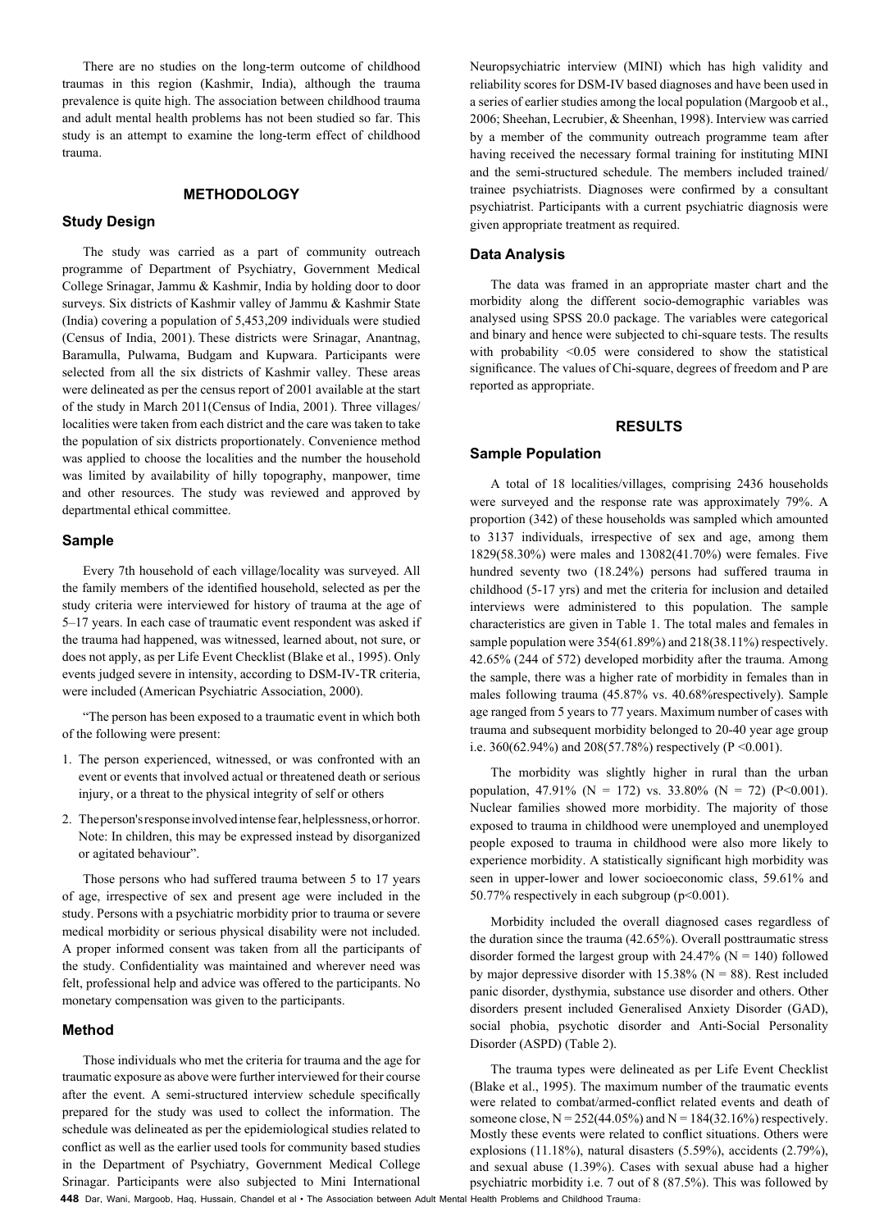There are no studies on the long-term outcome of childhood traumas in this region (Kashmir, India), although the trauma prevalence is quite high. The association between childhood trauma and adult mental health problems has not been studied so far. This study is an attempt to examine the long-term effect of childhood trauma.

## **METHODOLOGY**

## **Study Design**

The study was carried as a part of community outreach programme of Department of Psychiatry, Government Medical College Srinagar, Jammu & Kashmir, India by holding door to door surveys. Six districts of Kashmir valley of Jammu & Kashmir State (India) covering a population of 5,453,209 individuals were studied (Census of India, 2001). These districts were Srinagar, Anantnag, Baramulla, Pulwama, Budgam and Kupwara. Participants were selected from all the six districts of Kashmir valley. These areas were delineated as per the census report of 2001 available at the start of the study in March 2011(Census of India, 2001). Three villages/ localities were taken from each district and the care was taken to take the population of six districts proportionately. Convenience method was applied to choose the localities and the number the household was limited by availability of hilly topography, manpower, time and other resources. The study was reviewed and approved by departmental ethical committee.

## **Sample**

Every 7th household of each village/locality was surveyed. All the family members of the identified household, selected as per the study criteria were interviewed for history of trauma at the age of 5–17 years. In each case of traumatic event respondent was asked if the trauma had happened, was witnessed, learned about, not sure, or does not apply, as per Life Event Checklist (Blake et al., 1995). Only events judged severe in intensity, according to DSM-IV-TR criteria, were included (American Psychiatric Association, 2000).

"The person has been exposed to a traumatic event in which both of the following were present:

- 1. The person experienced, witnessed, or was confronted with an event or events that involved actual or threatened death or serious injury, or a threat to the physical integrity of self or others
- 2. The person's response involved intense fear, helplessness, or horror. Note: In children, this may be expressed instead by disorganized or agitated behaviour".

Those persons who had suffered trauma between 5 to 17 years of age, irrespective of sex and present age were included in the study. Persons with a psychiatric morbidity prior to trauma or severe medical morbidity or serious physical disability were not included. A proper informed consent was taken from all the participants of the study. Confidentiality was maintained and wherever need was felt, professional help and advice was offered to the participants. No monetary compensation was given to the participants.

## **Method**

Those individuals who met the criteria for trauma and the age for traumatic exposure as above were further interviewed for their course after the event. A semi-structured interview schedule specifically prepared for the study was used to collect the information. The schedule was delineated as per the epidemiological studies related to conflict as well as the earlier used tools for community based studies in the Department of Psychiatry, Government Medical College Srinagar. Participants were also subjected to Mini International

Neuropsychiatric interview (MINI) which has high validity and reliability scores for DSM-IV based diagnoses and have been used in a series of earlier studies among the local population (Margoob et al., 2006; Sheehan, Lecrubier, & Sheenhan, 1998). Interview was carried by a member of the community outreach programme team after having received the necessary formal training for instituting MINI and the semi-structured schedule. The members included trained/ trainee psychiatrists. Diagnoses were confirmed by a consultant psychiatrist. Participants with a current psychiatric diagnosis were given appropriate treatment as required.

## **Data Analysis**

The data was framed in an appropriate master chart and the morbidity along the different socio-demographic variables was analysed using SPSS 20.0 package. The variables were categorical and binary and hence were subjected to chi-square tests. The results with probability <0.05 were considered to show the statistical significance. The values of Chi-square, degrees of freedom and P are reported as appropriate.

## **RESULTS**

## **Sample Population**

A total of 18 localities/villages, comprising 2436 households were surveyed and the response rate was approximately 79%. A proportion (342) of these households was sampled which amounted to 3137 individuals, irrespective of sex and age, among them 1829(58.30%) were males and 13082(41.70%) were females. Five hundred seventy two (18.24%) persons had suffered trauma in childhood (5-17 yrs) and met the criteria for inclusion and detailed interviews were administered to this population. The sample characteristics are given in Table 1. The total males and females in sample population were 354(61.89%) and 218(38.11%) respectively. 42.65% (244 of 572) developed morbidity after the trauma. Among the sample, there was a higher rate of morbidity in females than in males following trauma (45.87% vs. 40.68%respectively). Sample age ranged from 5 years to 77 years. Maximum number of cases with trauma and subsequent morbidity belonged to 20-40 year age group i.e. 360(62.94%) and 208(57.78%) respectively (P < 0.001).

The morbidity was slightly higher in rural than the urban population, 47.91% (N = 172) vs. 33.80% (N = 72) (P<0.001). Nuclear families showed more morbidity. The majority of those exposed to trauma in childhood were unemployed and unemployed people exposed to trauma in childhood were also more likely to experience morbidity. A statistically significant high morbidity was seen in upper-lower and lower socioeconomic class, 59.61% and 50.77% respectively in each subgroup (p<0.001).

Morbidity included the overall diagnosed cases regardless of the duration since the trauma (42.65%). Overall posttraumatic stress disorder formed the largest group with  $24.47\%$  (N = 140) followed by major depressive disorder with  $15.38\%$  (N = 88). Rest included panic disorder, dysthymia, substance use disorder and others. Other disorders present included Generalised Anxiety Disorder (GAD), social phobia, psychotic disorder and Anti-Social Personality Disorder (ASPD) (Table 2).

The trauma types were delineated as per Life Event Checklist (Blake et al., 1995). The maximum number of the traumatic events were related to combat/armed-conflict related events and death of someone close,  $N = 252(44.05\%)$  and  $N = 184(32.16\%)$  respectively. Mostly these events were related to conflict situations. Others were explosions (11.18%), natural disasters (5.59%), accidents (2.79%), and sexual abuse (1.39%). Cases with sexual abuse had a higher psychiatric morbidity i.e. 7 out of 8 (87.5%). This was followed by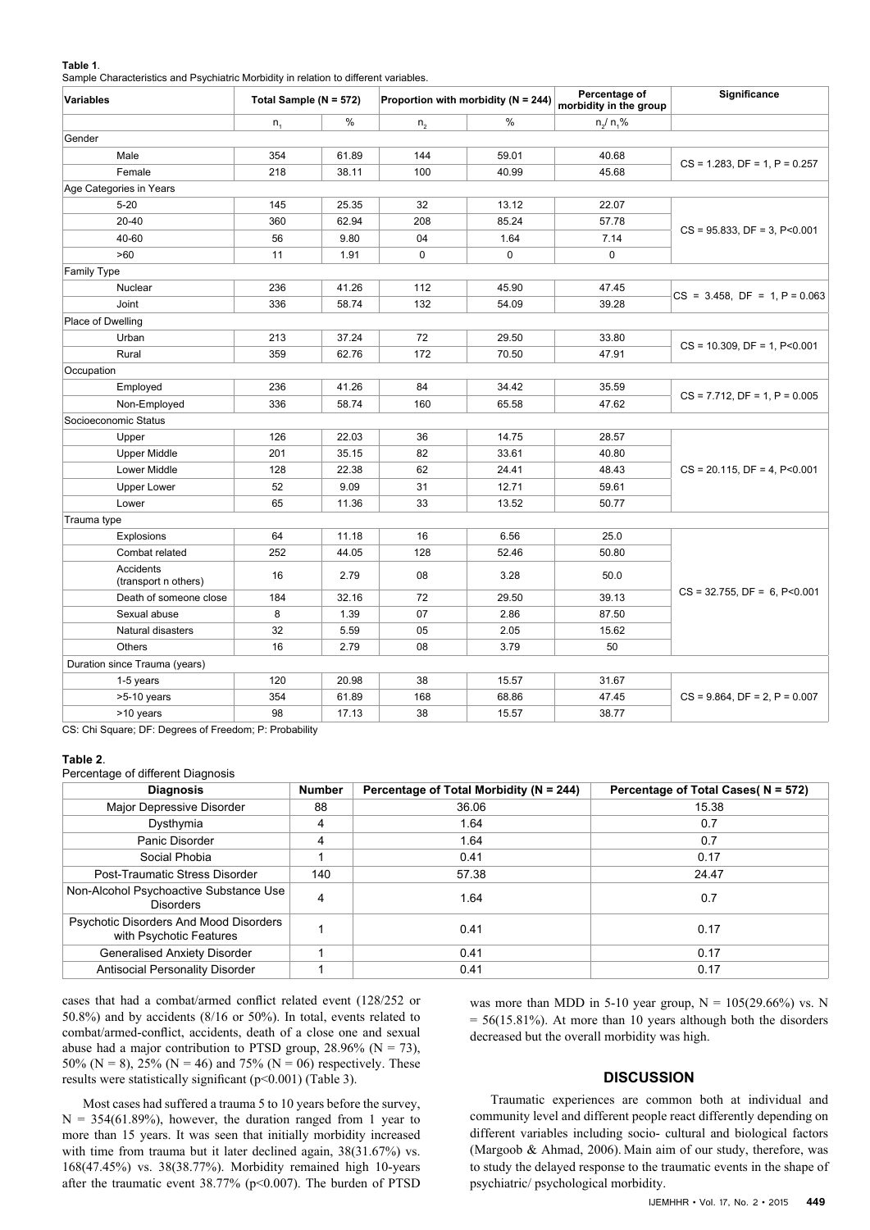#### **Table 1**.

Sample Characteristics and Psychiatric Morbidity in relation to different variables.

| $\sim$ 0.12.2000.000 2.12.1 by 0.12.1.10 1.10.10.12.11<br><b>Variables</b> | Total Sample (N = 572) |       | Proportion with morbidity ( $N = 244$ ) |             | Percentage of<br>morbidity in the group | Significance                           |  |  |  |  |  |
|----------------------------------------------------------------------------|------------------------|-------|-----------------------------------------|-------------|-----------------------------------------|----------------------------------------|--|--|--|--|--|
|                                                                            | $n_{1}$                | %     | n <sub>2</sub>                          | %           | $n/ n.$ %                               |                                        |  |  |  |  |  |
| Gender                                                                     |                        |       |                                         |             |                                         |                                        |  |  |  |  |  |
| Male                                                                       | 354                    | 61.89 | 144                                     | 59.01       | 40.68                                   |                                        |  |  |  |  |  |
| Female                                                                     | 218                    | 38.11 | 100                                     | 40.99       | 45.68                                   | $CS = 1.283$ , $DF = 1$ , $P = 0.257$  |  |  |  |  |  |
| Age Categories in Years                                                    |                        |       |                                         |             |                                         |                                        |  |  |  |  |  |
| $5 - 20$                                                                   | 145                    | 25.35 | 32                                      | 13.12       | 22.07                                   |                                        |  |  |  |  |  |
| $20 - 40$                                                                  | 360                    | 62.94 | 208                                     | 85.24       | 57.78                                   |                                        |  |  |  |  |  |
| 40-60                                                                      | 56                     | 9.80  | 04                                      | 1.64        | 7.14                                    | $CS = 95.833$ , $DF = 3$ , $P < 0.001$ |  |  |  |  |  |
| >60                                                                        | 11                     | 1.91  | $\pmb{0}$                               | $\mathbf 0$ | $\mathbf 0$                             |                                        |  |  |  |  |  |
| <b>Family Type</b>                                                         |                        |       |                                         |             |                                         |                                        |  |  |  |  |  |
| Nuclear                                                                    | 236                    | 41.26 | 112                                     | 45.90       | 47.45                                   |                                        |  |  |  |  |  |
| Joint                                                                      | 336                    | 58.74 | 132                                     | 54.09       | 39.28                                   | $CS = 3.458$ , $DF = 1$ , $P = 0.063$  |  |  |  |  |  |
| Place of Dwelling                                                          |                        |       |                                         |             |                                         |                                        |  |  |  |  |  |
| Urban                                                                      | 213                    | 37.24 | 72                                      | 29.50       | 33.80                                   |                                        |  |  |  |  |  |
| Rural                                                                      | 359                    | 62.76 | 172                                     | 70.50       | 47.91                                   | $CS = 10.309$ , $DF = 1$ , $P < 0.001$ |  |  |  |  |  |
| Occupation                                                                 |                        |       |                                         |             |                                         |                                        |  |  |  |  |  |
| Employed                                                                   | 236                    | 41.26 | 84                                      | 34.42       | 35.59                                   |                                        |  |  |  |  |  |
| Non-Employed                                                               | 336                    | 58.74 | 160                                     | 65.58       | 47.62                                   | $CS = 7.712$ , $DF = 1$ , $P = 0.005$  |  |  |  |  |  |
| Socioeconomic Status                                                       |                        |       |                                         |             |                                         |                                        |  |  |  |  |  |
| Upper                                                                      | 126                    | 22.03 | 36                                      | 14.75       | 28.57                                   |                                        |  |  |  |  |  |
| <b>Upper Middle</b>                                                        | 201                    | 35.15 | 82                                      | 33.61       | 40.80                                   |                                        |  |  |  |  |  |
| Lower Middle                                                               | 128                    | 22.38 | 62                                      | 24.41       | 48.43                                   | $CS = 20.115$ , $DF = 4$ , $P < 0.001$ |  |  |  |  |  |
| <b>Upper Lower</b>                                                         | 52                     | 9.09  | 31                                      | 12.71       | 59.61                                   |                                        |  |  |  |  |  |
| Lower                                                                      | 65                     | 11.36 | 33                                      | 13.52       | 50.77                                   |                                        |  |  |  |  |  |
| Trauma type                                                                |                        |       |                                         |             |                                         |                                        |  |  |  |  |  |
| Explosions                                                                 | 64                     | 11.18 | 16                                      | 6.56        | 25.0                                    | $CS = 32.755$ , $DF = 6$ , $P < 0.001$ |  |  |  |  |  |
| Combat related                                                             | 252                    | 44.05 | 128                                     | 52.46       | 50.80                                   |                                        |  |  |  |  |  |
| Accidents<br>(transport n others)                                          | 16                     | 2.79  | 08                                      | 3.28        | 50.0                                    |                                        |  |  |  |  |  |
| Death of someone close                                                     | 184                    | 32.16 | 72                                      | 29.50       | 39.13                                   |                                        |  |  |  |  |  |
| Sexual abuse                                                               | 8                      | 1.39  | 07                                      | 2.86        | 87.50                                   |                                        |  |  |  |  |  |
| Natural disasters                                                          | 32                     | 5.59  | 05                                      | 2.05        | 15.62                                   |                                        |  |  |  |  |  |
| <b>Others</b>                                                              | 16                     | 2.79  | 08                                      | 3.79        | 50                                      |                                        |  |  |  |  |  |
| Duration since Trauma (years)                                              |                        |       |                                         |             |                                         |                                        |  |  |  |  |  |
| 1-5 years                                                                  | 120                    | 20.98 | 38                                      | 15.57       | 31.67                                   | $CS = 9.864$ , $DF = 2$ , $P = 0.007$  |  |  |  |  |  |
| $>5-10$ years                                                              | 354                    | 61.89 | 168                                     | 68.86       | 47.45                                   |                                        |  |  |  |  |  |
| >10 years                                                                  | 98                     | 17.13 | 38                                      | 15.57       | 38.77                                   |                                        |  |  |  |  |  |
|                                                                            |                        |       |                                         |             |                                         |                                        |  |  |  |  |  |

CS: Chi Square; DF: Degrees of Freedom; P: Probability

### **Table 2**.

Percentage of different Diagnosis

| <b>Diagnosis</b>                                                  | <b>Number</b> | Percentage of Total Morbidity (N = 244) | Percentage of Total Cases(N = 572) |  |  |
|-------------------------------------------------------------------|---------------|-----------------------------------------|------------------------------------|--|--|
| Major Depressive Disorder                                         | 88            | 36.06                                   | 15.38                              |  |  |
| Dysthymia                                                         | 4             | 1.64                                    | 0.7                                |  |  |
| Panic Disorder                                                    | 4             | 1.64                                    | 0.7                                |  |  |
| Social Phobia                                                     |               | 0.41                                    | 0.17                               |  |  |
| Post-Traumatic Stress Disorder                                    | 140           | 57.38                                   | 24.47                              |  |  |
| Non-Alcohol Psychoactive Substance Use<br><b>Disorders</b>        | 4             | 1.64                                    | 0.7                                |  |  |
| Psychotic Disorders And Mood Disorders<br>with Psychotic Features |               | 0.41                                    | 0.17                               |  |  |
| <b>Generalised Anxiety Disorder</b>                               |               | 0.41                                    | 0.17                               |  |  |
| Antisocial Personality Disorder                                   |               | 0.41                                    | 0.17                               |  |  |

cases that had a combat/armed conflict related event (128/252 or 50.8%) and by accidents (8/16 or 50%). In total, events related to combat/armed-conflict, accidents, death of a close one and sexual abuse had a major contribution to PTSD group,  $28.96\%$  (N = 73), 50% (N = 8), 25% (N = 46) and 75% (N = 06) respectively. These results were statistically significant (p<0.001) (Table 3).

Most cases had suffered a trauma 5 to 10 years before the survey,  $N = 354(61.89%)$ , however, the duration ranged from 1 year to more than 15 years. It was seen that initially morbidity increased with time from trauma but it later declined again,  $38(31.67%)$  vs. 168(47.45%) vs. 38(38.77%). Morbidity remained high 10-years after the traumatic event 38.77% (p<0.007). The burden of PTSD was more than MDD in 5-10 year group,  $N = 105(29.66\%)$  vs. N  $= 56(15.81\%)$ . At more than 10 years although both the disorders decreased but the overall morbidity was high.

## **DISCUSSION**

Traumatic experiences are common both at individual and community level and different people react differently depending on different variables including socio- cultural and biological factors (Margoob & Ahmad, 2006). Main aim of our study, therefore, was to study the delayed response to the traumatic events in the shape of psychiatric/ psychological morbidity.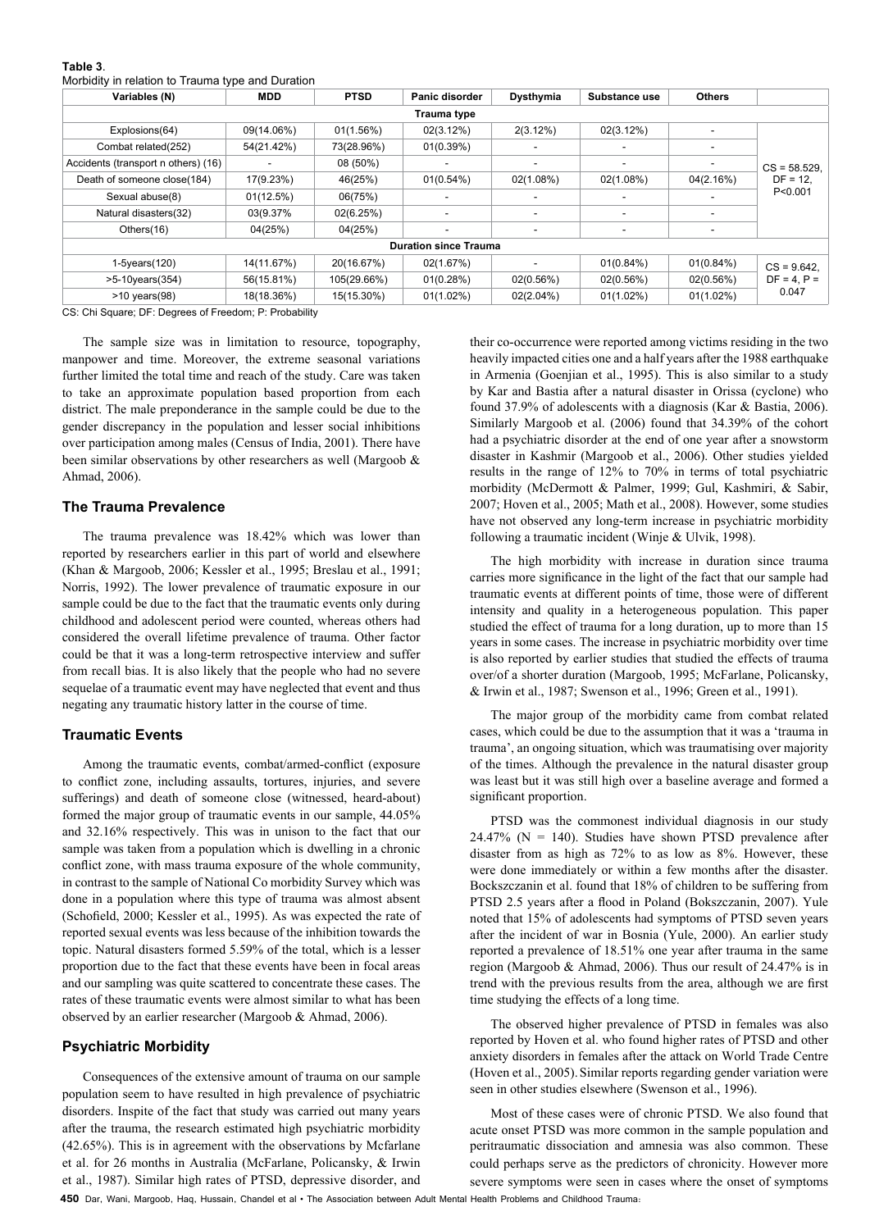| <b>MDD</b> | <b>PTSD</b> | Panic disorder                                  | Dysthymia                | Substance use                | <b>Others</b> |                                            |
|------------|-------------|-------------------------------------------------|--------------------------|------------------------------|---------------|--------------------------------------------|
|            |             | Trauma type                                     |                          |                              |               |                                            |
| 09(14.06%) | 01(1.56%)   | 02(3.12%)                                       | 2(3.12%)                 | 02(3.12%)                    |               | $CS = 58.529$ .<br>$DF = 12.$<br>P < 0.001 |
| 54(21.42%) | 73(28.96%)  | 01(0.39%)                                       | ٠                        |                              |               |                                            |
|            | 08 (50%)    |                                                 | $\overline{\phantom{a}}$ |                              |               |                                            |
| 17(9.23%)  | 46(25%)     | 01(0.54%)                                       | 02(1.08%)                | 02(1.08%)                    | 04(2.16%)     |                                            |
| 01(12.5%)  | 06(75%)     |                                                 | ٠                        |                              |               |                                            |
| 03(9.37%   | 02(6.25%)   |                                                 | ٠                        |                              |               |                                            |
| 04(25%)    | 04(25%)     |                                                 | ٠                        |                              |               |                                            |
|            |             |                                                 |                          |                              |               |                                            |
| 14(11.67%) | 20(16.67%)  | 02(1.67%)                                       | $\overline{\phantom{a}}$ | 01(0.84%)                    | 01(0.84%)     | $CS = 9.642$ .<br>$DF = 4. P =$<br>0.047   |
| 56(15.81%) | 105(29.66%) | 01(0.28%)                                       | 02(0.56%)                | 02(0.56%)                    | 02(0.56%)     |                                            |
| 18(18.36%) | 15(15.30%)  | $01(1.02\%)$                                    | $02(2.04\%)$             | $01(1.02\%)$                 | $01(1.02\%)$  |                                            |
|            |             | monday in relation to maanta type and Baration. |                          | <b>Duration since Trauma</b> |               |                                            |

**Table 3**. Morbidity in relation to Trauma type and Duration

CS: Chi Square; DF: Degrees of Freedom; P: Probability

The sample size was in limitation to resource, topography, manpower and time. Moreover, the extreme seasonal variations further limited the total time and reach of the study. Care was taken to take an approximate population based proportion from each district. The male preponderance in the sample could be due to the gender discrepancy in the population and lesser social inhibitions over participation among males (Census of India, 2001). There have been similar observations by other researchers as well (Margoob & Ahmad, 2006).

## **The Trauma Prevalence**

The trauma prevalence was 18.42% which was lower than reported by researchers earlier in this part of world and elsewhere (Khan & Margoob, 2006; Kessler et al., 1995; Breslau et al., 1991; Norris, 1992). The lower prevalence of traumatic exposure in our sample could be due to the fact that the traumatic events only during childhood and adolescent period were counted, whereas others had considered the overall lifetime prevalence of trauma. Other factor could be that it was a long-term retrospective interview and suffer from recall bias. It is also likely that the people who had no severe sequelae of a traumatic event may have neglected that event and thus negating any traumatic history latter in the course of time.

## **Traumatic Events**

Among the traumatic events, combat/armed-conflict (exposure to conflict zone, including assaults, tortures, injuries, and severe sufferings) and death of someone close (witnessed, heard-about) formed the major group of traumatic events in our sample, 44.05% and 32.16% respectively. This was in unison to the fact that our sample was taken from a population which is dwelling in a chronic conflict zone, with mass trauma exposure of the whole community, in contrast to the sample of National Co morbidity Survey which was done in a population where this type of trauma was almost absent (Schofield, 2000; Kessler et al., 1995). As was expected the rate of reported sexual events was less because of the inhibition towards the topic. Natural disasters formed 5.59% of the total, which is a lesser proportion due to the fact that these events have been in focal areas and our sampling was quite scattered to concentrate these cases. The rates of these traumatic events were almost similar to what has been observed by an earlier researcher (Margoob & Ahmad, 2006).

## **Psychiatric Morbidity**

Consequences of the extensive amount of trauma on our sample population seem to have resulted in high prevalence of psychiatric disorders. Inspite of the fact that study was carried out many years after the trauma, the research estimated high psychiatric morbidity (42.65%). This is in agreement with the observations by Mcfarlane et al. for 26 months in Australia (McFarlane, Policansky, & Irwin et al., 1987). Similar high rates of PTSD, depressive disorder, and

their co-occurrence were reported among victims residing in the two heavily impacted cities one and a half years after the 1988 earthquake in Armenia (Goenjian et al., 1995). This is also similar to a study by Kar and Bastia after a natural disaster in Orissa (cyclone) who found 37.9% of adolescents with a diagnosis (Kar & Bastia, 2006). Similarly Margoob et al. (2006) found that 34.39% of the cohort had a psychiatric disorder at the end of one year after a snowstorm disaster in Kashmir (Margoob et al., 2006). Other studies yielded results in the range of 12% to 70% in terms of total psychiatric morbidity (McDermott & Palmer, 1999; Gul, Kashmiri, & Sabir, 2007; Hoven et al., 2005; Math et al., 2008). However, some studies have not observed any long-term increase in psychiatric morbidity following a traumatic incident (Winje & Ulvik, 1998).

The high morbidity with increase in duration since trauma carries more significance in the light of the fact that our sample had traumatic events at different points of time, those were of different intensity and quality in a heterogeneous population. This paper studied the effect of trauma for a long duration, up to more than 15 years in some cases. The increase in psychiatric morbidity over time is also reported by earlier studies that studied the effects of trauma over/of a shorter duration (Margoob, 1995; McFarlane, Policansky, & Irwin et al., 1987; Swenson et al., 1996; Green et al., 1991).

The major group of the morbidity came from combat related cases, which could be due to the assumption that it was a 'trauma in trauma', an ongoing situation, which was traumatising over majority of the times. Although the prevalence in the natural disaster group was least but it was still high over a baseline average and formed a significant proportion.

PTSD was the commonest individual diagnosis in our study 24.47% ( $N = 140$ ). Studies have shown PTSD prevalence after disaster from as high as 72% to as low as 8%. However, these were done immediately or within a few months after the disaster. Bockszczanin et al. found that 18% of children to be suffering from PTSD 2.5 years after a flood in Poland (Bokszczanin, 2007). Yule noted that 15% of adolescents had symptoms of PTSD seven years after the incident of war in Bosnia (Yule, 2000). An earlier study reported a prevalence of 18.51% one year after trauma in the same region (Margoob & Ahmad, 2006). Thus our result of 24.47% is in trend with the previous results from the area, although we are first time studying the effects of a long time.

The observed higher prevalence of PTSD in females was also reported by Hoven et al. who found higher rates of PTSD and other anxiety disorders in females after the attack on World Trade Centre (Hoven et al., 2005).Similar reports regarding gender variation were seen in other studies elsewhere (Swenson et al., 1996).

Most of these cases were of chronic PTSD. We also found that acute onset PTSD was more common in the sample population and peritraumatic dissociation and amnesia was also common. These could perhaps serve as the predictors of chronicity. However more severe symptoms were seen in cases where the onset of symptoms

**450** Dar, Wani, Margoob, Haq, Hussain, Chandel et al • The Association between Adult Mental Health Problems and Childhood Trauma: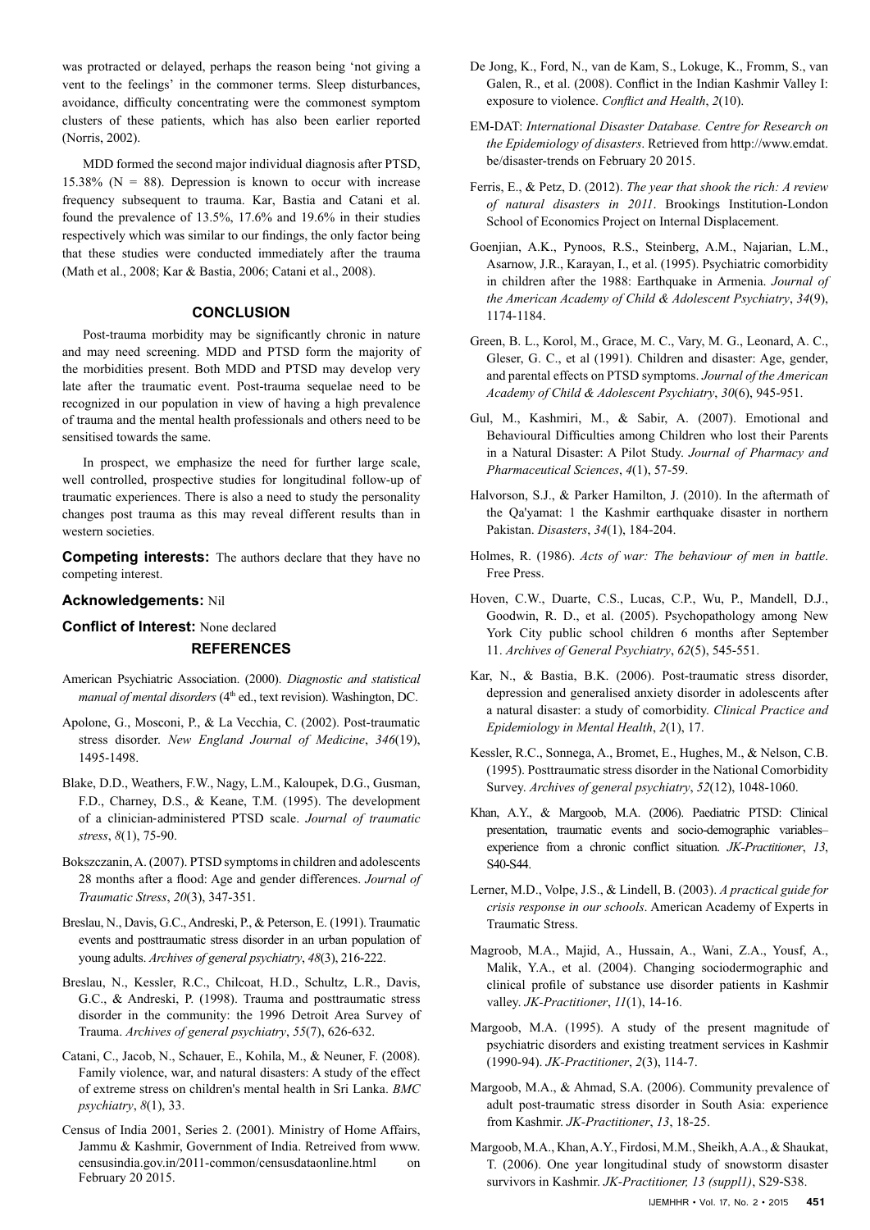was protracted or delayed, perhaps the reason being 'not giving a vent to the feelings' in the commoner terms. Sleep disturbances, avoidance, difficulty concentrating were the commonest symptom clusters of these patients, which has also been earlier reported (Norris, 2002).

MDD formed the second major individual diagnosis after PTSD, 15.38% ( $N = 88$ ). Depression is known to occur with increase frequency subsequent to trauma. Kar, Bastia and Catani et al. found the prevalence of 13.5%, 17.6% and 19.6% in their studies respectively which was similar to our findings, the only factor being that these studies were conducted immediately after the trauma (Math et al., 2008; Kar & Bastia, 2006; Catani et al., 2008).

## **CONCLUSION**

Post-trauma morbidity may be significantly chronic in nature and may need screening. MDD and PTSD form the majority of the morbidities present. Both MDD and PTSD may develop very late after the traumatic event. Post-trauma sequelae need to be recognized in our population in view of having a high prevalence of trauma and the mental health professionals and others need to be sensitised towards the same.

In prospect, we emphasize the need for further large scale, well controlled, prospective studies for longitudinal follow-up of traumatic experiences. There is also a need to study the personality changes post trauma as this may reveal different results than in western societies.

**Competing interests:** The authors declare that they have no competing interest.

## **Acknowledgements:** Nil

## **Conflict of Interest:** None declared **REFERENCES**

- American Psychiatric Association. (2000). *Diagnostic and statistical manual of mental disorders* (4<sup>th</sup> ed., text revision). Washington, DC.
- Apolone, G., Mosconi, P., & La Vecchia, C. (2002). Post-traumatic stress disorder. *New England Journal of Medicine*, *346*(19), 1495-1498.
- Blake, D.D., Weathers, F.W., Nagy, L.M., Kaloupek, D.G., Gusman, F.D., Charney, D.S., & Keane, T.M. (1995). The development of a clinician‐administered PTSD scale. *Journal of traumatic stress*, *8*(1), 75-90.
- Bokszczanin, A. (2007). PTSD symptoms in children and adolescents 28 months after a flood: Age and gender differences. *Journal of Traumatic Stress*, *20*(3), 347-351.
- Breslau, N., Davis, G.C., Andreski, P., & Peterson, E. (1991). Traumatic events and posttraumatic stress disorder in an urban population of young adults. *Archives of general psychiatry*, *48*(3), 216-222.
- Breslau, N., Kessler, R.C., Chilcoat, H.D., Schultz, L.R., Davis, G.C., & Andreski, P. (1998). Trauma and posttraumatic stress disorder in the community: the 1996 Detroit Area Survey of Trauma. *Archives of general psychiatry*, *55*(7), 626-632.
- Catani, C., Jacob, N., Schauer, E., Kohila, M., & Neuner, F. (2008). Family violence, war, and natural disasters: A study of the effect of extreme stress on children's mental health in Sri Lanka. *BMC psychiatry*, *8*(1), 33.
- Census of India 2001, Series 2. (2001). Ministry of Home Affairs, Jammu & Kashmir, Government of India. Retreived from www. censusindia.gov.in/2011-common/censusdataonline.html on February 20 2015.
- De Jong, K., Ford, N., van de Kam, S., Lokuge, K., Fromm, S., van Galen, R., et al. (2008). Conflict in the Indian Kashmir Valley I: exposure to violence. *Conflict and Health*, *2*(10).
- EM-DAT: *International Disaster Database. Centre for Research on the Epidemiology of disasters*. Retrieved from [http://www.emdat.](http://www.emdat.be/disaster-trends) [be/disaster-trends](http://www.emdat.be/disaster-trends) on February 20 2015.
- Ferris, E., & Petz, D. (2012). *The year that shook the rich: A review of natural disasters in 2011*. Brookings Institution-London School of Economics Project on Internal Displacement.
- Goenjian, A.K., Pynoos, R.S., Steinberg, A.M., Najarian, L.M., Asarnow, J.R., Karayan, I., et al. (1995). Psychiatric comorbidity in children after the 1988: Earthquake in Armenia. *Journal of the American Academy of Child & Adolescent Psychiatry*, *34*(9), 1174-1184.
- Green, B. L., Korol, M., Grace, M. C., Vary, M. G., Leonard, A. C., Gleser, G. C., et al (1991). Children and disaster: Age, gender, and parental effects on PTSD symptoms. *Journal of the American Academy of Child & Adolescent Psychiatry*, *30*(6), 945-951.
- Gul, M., Kashmiri, M., & Sabir, A. (2007). Emotional and Behavioural Difficulties among Children who lost their Parents in a Natural Disaster: A Pilot Study. *Journal of Pharmacy and Pharmaceutical Sciences*, *4*(1), 57-59.
- Halvorson, S.J., & Parker Hamilton, J. (2010). In the aftermath of the Qa'yamat: 1 the Kashmir earthquake disaster in northern Pakistan. *Disasters*, *34*(1), 184-204.
- Holmes, R. (1986). *Acts of war: The behaviour of men in battle*. Free Press.
- Hoven, C.W., Duarte, C.S., Lucas, C.P., Wu, P., Mandell, D.J., Goodwin, R. D., et al. (2005). Psychopathology among New York City public school children 6 months after September 11. *Archives of General Psychiatry*, *62*(5), 545-551.
- Kar, N., & Bastia, B.K. (2006). Post-traumatic stress disorder, depression and generalised anxiety disorder in adolescents after a natural disaster: a study of comorbidity. *Clinical Practice and Epidemiology in Mental Health*, *2*(1), 17.
- Kessler, R.C., Sonnega, A., Bromet, E., Hughes, M., & Nelson, C.B. (1995). Posttraumatic stress disorder in the National Comorbidity Survey. *Archives of general psychiatry*, *52*(12), 1048-1060.
- Khan, A.Y., & Margoob, M.A. (2006). Paediatric PTSD: Clinical presentation, traumatic events and socio-demographic variables– experience from a chronic conflict situation. *JK-Practitioner*, *13*, S40-S44.
- Lerner, M.D., Volpe, J.S., & Lindell, B. (2003). *A practical guide for crisis response in our schools*. American Academy of Experts in Traumatic Stress.
- Magroob, M.A., Majid, A., Hussain, A., Wani, Z.A., Yousf, A., Malik, Y.A., et al. (2004). Changing sociodermographic and clinical profile of substance use disorder patients in Kashmir valley. *JK-Practitioner*, *11*(1), 14-16.
- Margoob, M.A. (1995). A study of the present magnitude of psychiatric disorders and existing treatment services in Kashmir (1990-94). *JK-Practitioner*, *2*(3), 114-7.
- Margoob, M.A., & Ahmad, S.A. (2006). Community prevalence of adult post-traumatic stress disorder in South Asia: experience from Kashmir. *JK-Practitioner*, *13*, 18-25.
- Margoob, M.A., Khan, A.Y., Firdosi, M.M., Sheikh, A.A., & Shaukat, T. (2006). One year longitudinal study of snowstorm disaster survivors in Kashmir. *JK-Practitioner, 13 (suppl1)*, S29-S38.